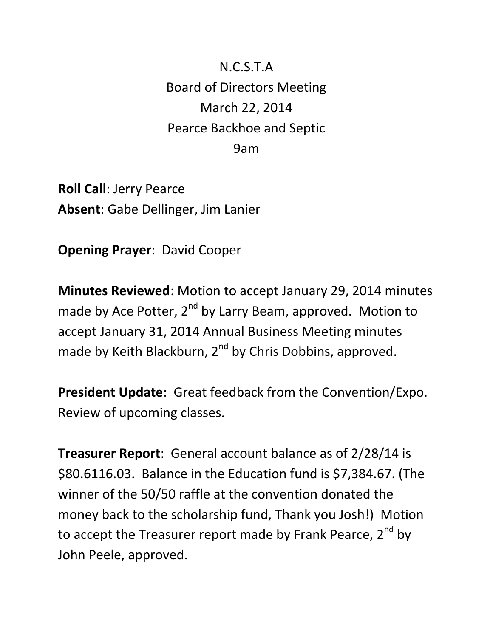N.C.S.T.A Board of Directors Meeting March 22, 2014 Pearce Backhoe and Septic 9am

**Roll Call**: Jerry Pearce **Absent**: Gabe Dellinger, Jim Lanier

**Opening Prayer**: David Cooper

**Minutes Reviewed**: Motion to accept January 29, 2014 minutes made by Ace Potter,  $2^{nd}$  by Larry Beam, approved. Motion to accept January 31, 2014 Annual Business Meeting minutes made by Keith Blackburn, 2<sup>nd</sup> by Chris Dobbins, approved.

**President Update**: Great feedback from the Convention/Expo. Review of upcoming classes.

**Treasurer Report**: General account balance as of 2/28/14 is \$80.6116.03. Balance in the Education fund is \$7,384.67. (The winner of the 50/50 raffle at the convention donated the money back to the scholarship fund, Thank you Josh!) Motion to accept the Treasurer report made by Frank Pearce,  $2^{nd}$  by John Peele, approved.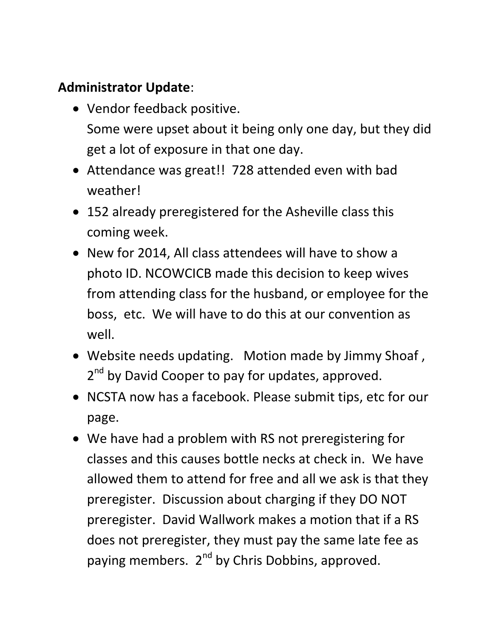## **Administrator Update**:

- Vendor feedback positive. Some were upset about it being only one day, but they did get a lot of exposure in that one day.
- Attendance was great!! 728 attended even with bad weather!
- 152 already preregistered for the Asheville class this coming week.
- New for 2014, All class attendees will have to show a photo ID. NCOWCICB made this decision to keep wives from attending class for the husband, or employee for the boss, etc. We will have to do this at our convention as well.
- Website needs updating. Motion made by Jimmy Shoaf , 2<sup>nd</sup> by David Cooper to pay for updates, approved.
- NCSTA now has a facebook. Please submit tips, etc for our page.
- We have had a problem with RS not preregistering for classes and this causes bottle necks at check in. We have allowed them to attend for free and all we ask is that they preregister. Discussion about charging if they DO NOT preregister. David Wallwork makes a motion that if a RS does not preregister, they must pay the same late fee as paying members. 2<sup>nd</sup> by Chris Dobbins, approved.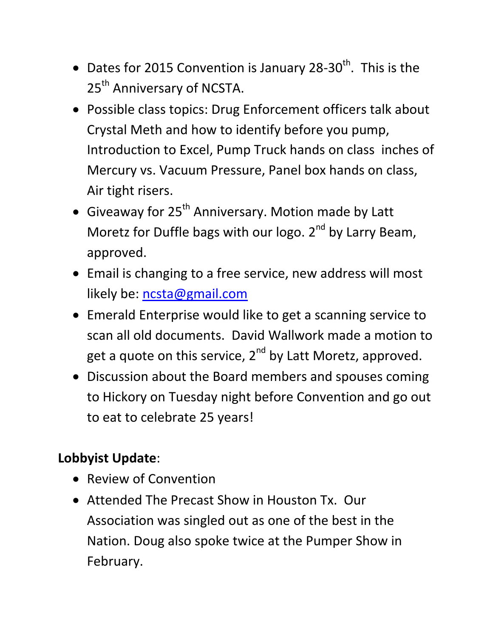- Dates for 2015 Convention is January 28-30<sup>th</sup>. This is the 25<sup>th</sup> Anniversary of NCSTA.
- Possible class topics: Drug Enforcement officers talk about Crystal Meth and how to identify before you pump, Introduction to Excel, Pump Truck hands on class inches of Mercury vs. Vacuum Pressure, Panel box hands on class, Air tight risers.
- Giveaway for  $25<sup>th</sup>$  Anniversary. Motion made by Latt Moretz for Duffle bags with our logo.  $2<sup>nd</sup>$  by Larry Beam, approved.
- Email is changing to a free service, new address will most likely be: [ncsta@gmail.com](mailto:ncsta@gmail.com)
- Emerald Enterprise would like to get a scanning service to scan all old documents. David Wallwork made a motion to get a quote on this service,  $2^{nd}$  by Latt Moretz, approved.
- Discussion about the Board members and spouses coming to Hickory on Tuesday night before Convention and go out to eat to celebrate 25 years!

## **Lobbyist Update**:

- Review of Convention
- Attended The Precast Show in Houston Tx. Our Association was singled out as one of the best in the Nation. Doug also spoke twice at the Pumper Show in February.